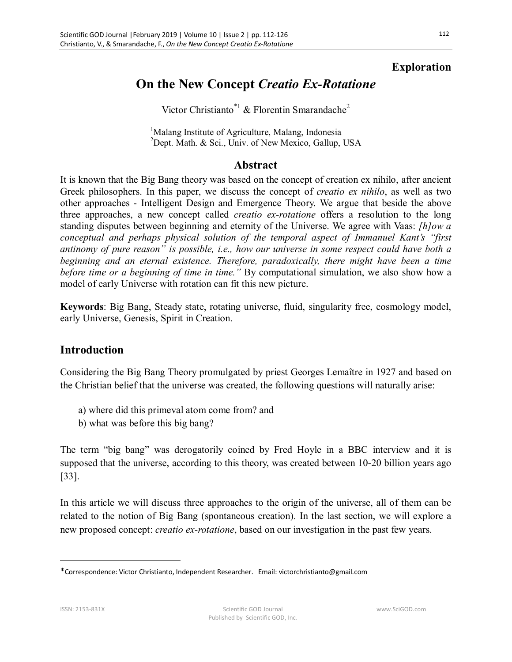### **Exploration**

# **On the New Concept** *Creatio Ex-Rotatione*

Victor Christianto<sup>\*1</sup> & Florentin Smarandache<sup>2</sup>

<sup>1</sup>Malang Institute of Agriculture, Malang, Indonesia <sup>2</sup>Dept. Math. & Sci., Univ. of New Mexico, Gallup, USA

#### **Abstract**

It is known that the Big Bang theory was based on the concept of creation ex nihilo, after ancient Greek philosophers. In this paper, we discuss the concept of *creatio ex nihilo*, as well as two other approaches - Intelligent Design and Emergence Theory. We argue that beside the above three approaches, a new concept called *creatio ex-rotatione* offers a resolution to the long standing disputes between beginning and eternity of the Universe. We agree with Vaas: *[h]ow a conceptual and perhaps physical solution of the temporal aspect of Immanuel Kant's "first antinomy of pure reason" is possible, i.e., how our universe in some respect could have both a beginning and an eternal existence. Therefore, paradoxically, there might have been a time before time or a beginning of time in time."* By computational simulation, we also show how a model of early Universe with rotation can fit this new picture.

**Keywords**: Big Bang, Steady state, rotating universe, fluid, singularity free, cosmology model, early Universe, Genesis, Spirit in Creation.

#### **Introduction**

Considering the Big Bang Theory promulgated by priest Georges Lemaître in 1927 and based on the Christian belief that the universe was created, the following questions will naturally arise:

- a) where did this primeval atom come from? and
- b) what was before this big bang?

The term "big bang" was derogatorily coined by Fred Hoyle in a BBC interview and it is supposed that the universe, according to this theory, was created between 10-20 billion years ago [33].

In this article we will discuss three approaches to the origin of the universe, all of them can be related to the notion of Big Bang (spontaneous creation). In the last section, we will explore a new proposed concept: *creatio ex-rotatione*, based on our investigation in the past few years.

<sup>\*</sup>Correspondence: Victor Christianto, Independent Researcher. Email: victorchristianto@gmail.com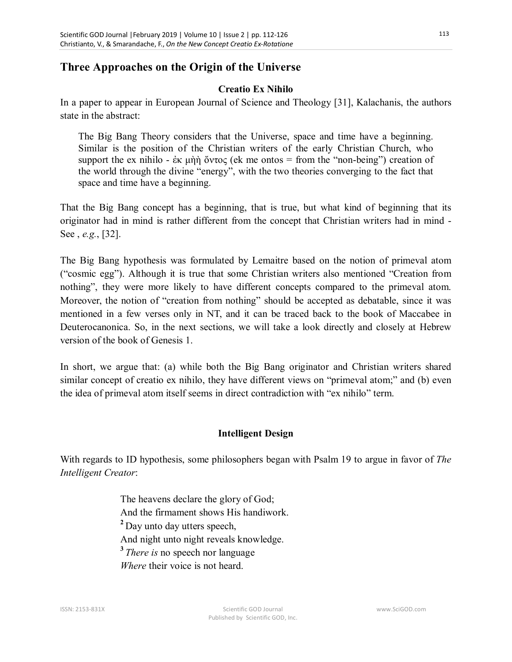### **Three Approaches on the Origin of the Universe**

#### **Creatio Ex Nihilo**

In a paper to appear in European Journal of Science and Theology [31], Kalachanis, the authors state in the abstract:

The Big Bang Theory considers that the Universe, space and time have a beginning. Similar is the position of the Christian writers of the early Christian Church, who support the ex nihilo - ἐκ μὴὴ ὄντος (ek me ontos = from the "non-being") creation of the world through the divine "energy", with the two theories converging to the fact that space and time have a beginning.

That the Big Bang concept has a beginning, that is true, but what kind of beginning that its originator had in mind is rather different from the concept that Christian writers had in mind - See , *e.g.*, [32].

The Big Bang hypothesis was formulated by Lemaitre based on the notion of primeval atom ("cosmic egg"). Although it is true that some Christian writers also mentioned "Creation from nothing", they were more likely to have different concepts compared to the primeval atom. Moreover, the notion of "creation from nothing" should be accepted as debatable, since it was mentioned in a few verses only in NT, and it can be traced back to the book of Maccabee in Deuterocanonica. So, in the next sections, we will take a look directly and closely at Hebrew version of the book of Genesis 1.

In short, we argue that: (a) while both the Big Bang originator and Christian writers shared similar concept of creatio ex nihilo, they have different views on "primeval atom;" and (b) even the idea of primeval atom itself seems in direct contradiction with "ex nihilo" term.

#### **Intelligent Design**

With regards to ID hypothesis, some philosophers began with Psalm 19 to argue in favor of *The Intelligent Creator*:

> The heavens declare the glory of God; And the firmament shows His handiwork. **<sup>2</sup>**Day unto day utters speech, And night unto night reveals knowledge. **<sup>3</sup>***There is* no speech nor language *Where* their voice is not heard.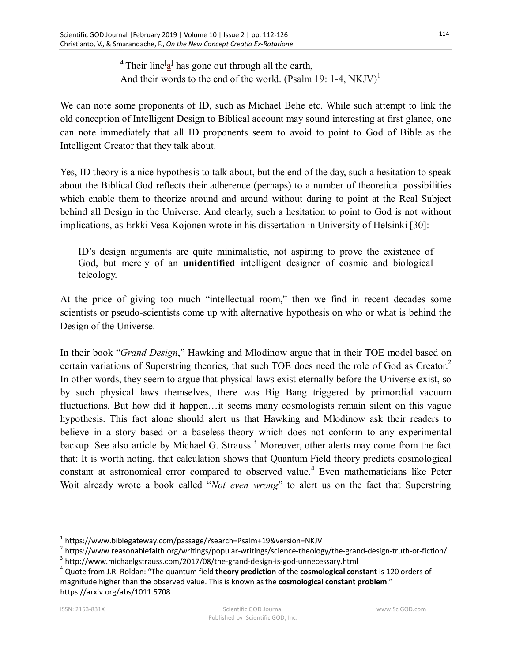<sup>4</sup> Their line<sup>[</sup> $a$ <sup>]</sup> has gone out through all the earth, And their words to the end of the world. (Psalm 19: 1-4,  $NKJV$ )<sup>1</sup>

We can note some proponents of ID, such as Michael Behe etc. While such attempt to link the old conception of Intelligent Design to Biblical account may sound interesting at first glance, one can note immediately that all ID proponents seem to avoid to point to God of Bible as the Intelligent Creator that they talk about.

Yes, ID theory is a nice hypothesis to talk about, but the end of the day, such a hesitation to speak about the Biblical God reflects their adherence (perhaps) to a number of theoretical possibilities which enable them to theorize around and around without daring to point at the Real Subject behind all Design in the Universe. And clearly, such a hesitation to point to God is not without implications, as Erkki Vesa Kojonen wrote in his dissertation in University of Helsinki [30]:

ID's design arguments are quite minimalistic, not aspiring to prove the existence of God, but merely of an **unidentified** intelligent designer of cosmic and biological teleology.

At the price of giving too much "intellectual room," then we find in recent decades some scientists or pseudo-scientists come up with alternative hypothesis on who or what is behind the Design of the Universe.

In their book "*Grand Design*," Hawking and Mlodinow argue that in their TOE model based on certain variations of Superstring theories, that such TOE does need the role of God as Creator.<sup>2</sup> In other words, they seem to argue that physical laws exist eternally before the Universe exist, so by such physical laws themselves, there was Big Bang triggered by primordial vacuum fluctuations. But how did it happen…it seems many cosmologists remain silent on this vague hypothesis. This fact alone should alert us that Hawking and Mlodinow ask their readers to believe in a story based on a baseless-theory which does not conform to any experimental backup. See also article by Michael G. Strauss.<sup>3</sup> Moreover, other alerts may come from the fact that: It is worth noting, that calculation shows that Quantum Field theory predicts cosmological constant at astronomical error compared to observed value.<sup>4</sup> Even mathematicians like Peter Woit already wrote a book called "*Not even wrong*" to alert us on the fact that Superstring

<sup>&</sup>lt;sup>1</sup> https://www.biblegateway.com/passage/?search=Psalm+19&version=NKJV

 $^2$  https://www.reasonablefaith.org/writings/popular-writings/science-theology/the-grand-design-truth-or-fiction/

 $^3$  http://www.michaelgstrauss.com/2017/08/the-grand-design-is-god-unnecessary.html

<sup>4</sup> Quote from J.R. Roldan: "The quantum field **theory prediction** of the **cosmological constant** is 120 orders of magnitude higher than the observed value. This is known as the **cosmological constant problem**." https://arxiv.org/abs/1011.5708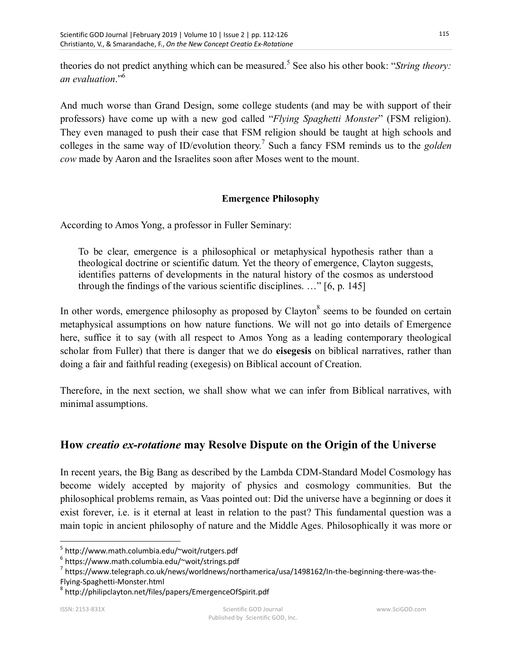theories do not predict anything which can be measured.<sup>5</sup> See also his other book: "*String theory*: *an evaluation*."<sup>6</sup>

And much worse than Grand Design, some college students (and may be with support of their professors) have come up with a new god called "*Flying Spaghetti Monster*" (FSM religion). They even managed to push their case that FSM religion should be taught at high schools and colleges in the same way of ID/evolution theory.<sup>7</sup> Such a fancy FSM reminds us to the *golden cow* made by Aaron and the Israelites soon after Moses went to the mount.

#### **Emergence Philosophy**

According to Amos Yong, a professor in Fuller Seminary:

To be clear, emergence is a philosophical or metaphysical hypothesis rather than a theological doctrine or scientific datum. Yet the theory of emergence, Clayton suggests, identifies patterns of developments in the natural history of the cosmos as understood through the findings of the various scientific disciplines. …" [6, p. 145]

In other words, emergence philosophy as proposed by Clayton<sup>8</sup> seems to be founded on certain metaphysical assumptions on how nature functions. We will not go into details of Emergence here, suffice it to say (with all respect to Amos Yong as a leading contemporary theological scholar from Fuller) that there is danger that we do **eisegesis** on biblical narratives, rather than doing a fair and faithful reading (exegesis) on Biblical account of Creation.

Therefore, in the next section, we shall show what we can infer from Biblical narratives, with minimal assumptions.

## **How** *creatio ex-rotatione* **may Resolve Dispute on the Origin of the Universe**

In recent years, the Big Bang as described by the Lambda CDM-Standard Model Cosmology has become widely accepted by majority of physics and cosmology communities. But the philosophical problems remain, as Vaas pointed out: Did the universe have a beginning or does it exist forever, i.e. is it eternal at least in relation to the past? This fundamental question was a main topic in ancient philosophy of nature and the Middle Ages. Philosophically it was more or

6 https://www.math.columbia.edu/~woit/strings.pdf

<sup>5</sup> http://www.math.columbia.edu/~woit/rutgers.pdf

<sup>&</sup>lt;sup>7</sup> https://www.telegraph.co.uk/news/worldnews/northamerica/usa/1498162/In-the-beginning-there-was-the-Flying-Spaghetti-Monster.html

<sup>&</sup>lt;sup>8</sup> http://philipclayton.net/files/papers/EmergenceOfSpirit.pdf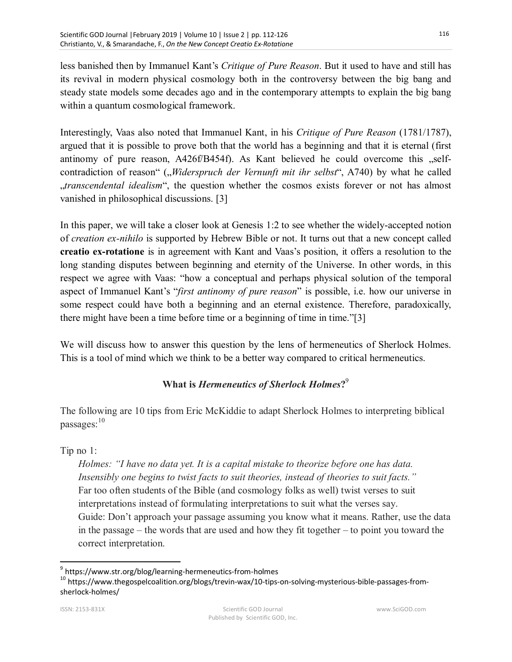less banished then by Immanuel Kant's *Critique of Pure Reason*. But it used to have and still has its revival in modern physical cosmology both in the controversy between the big bang and steady state models some decades ago and in the contemporary attempts to explain the big bang within a quantum cosmological framework.

Interestingly, Vaas also noted that Immanuel Kant, in his *Critique of Pure Reason* (1781/1787), argued that it is possible to prove both that the world has a beginning and that it is eternal (first antinomy of pure reason,  $A426f/B454f$ . As Kant believed he could overcome this  $I$ contradiction of reason" ("Widerspruch der Vernunft mit ihr selbst", A740) by what he called "*transcendental idealism*", the question whether the cosmos exists forever or not has almost vanished in philosophical discussions. [3]

In this paper, we will take a closer look at Genesis 1:2 to see whether the widely-accepted notion of *creation ex-nihilo* is supported by Hebrew Bible or not. It turns out that a new concept called **creatio ex-rotatione** is in agreement with Kant and Vaas's position, it offers a resolution to the long standing disputes between beginning and eternity of the Universe. In other words, in this respect we agree with Vaas: "how a conceptual and perhaps physical solution of the temporal aspect of Immanuel Kant's "*first antinomy of pure reason*" is possible, i.e. how our universe in some respect could have both a beginning and an eternal existence. Therefore, paradoxically, there might have been a time before time or a beginning of time in time."[3]

We will discuss how to answer this question by the lens of hermeneutics of Sherlock Holmes. This is a tool of mind which we think to be a better way compared to critical hermeneutics.

## **What is** *Hermeneutics of Sherlock Holmes***?** 9

The following are 10 tips from Eric McKiddie to adapt Sherlock Holmes to interpreting biblical passages: $10$ 

#### Tip no 1:

*Holmes: "I have no data yet. It is a capital mistake to theorize before one has data. Insensibly one begins to twist facts to suit theories, instead of theories to suit facts."* Far too often students of the Bible (and cosmology folks as well) twist verses to suit interpretations instead of formulating interpretations to suit what the verses say. Guide: Don't approach your passage assuming you know what it means. Rather, use the data in the passage – the words that are used and how they fit together – to point you toward the correct interpretation.

<sup>&</sup>lt;sup>9</sup> https://www.str.org/blog/learning-hermeneutics-from-holmes

<sup>10</sup> https://www.thegospelcoalition.org/blogs/trevin-wax/10-tips-on-solving-mysterious-bible-passages-fromsherlock-holmes/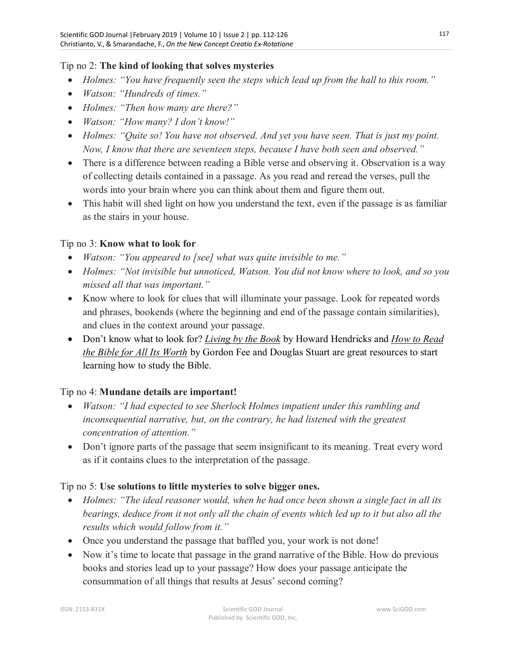#### Tip no 2: **The kind of looking that solves mysteries**

- *Holmes: "You have frequently seen the steps which lead up from the hall to this room."*
- *Watson: "Hundreds of times."*
- *Holmes: "Then how many are there?"*
- *Watson: "How many? I don't know!"*
- *Holmes: "Quite so! You have not observed. And yet you have seen. That is just my point. Now, I know that there are seventeen steps, because I have both seen and observed."*
- There is a difference between reading a Bible verse and observing it. Observation is a way of collecting details contained in a passage. As you read and reread the verses, pull the words into your brain where you can think about them and figure them out.
- This habit will shed light on how you understand the text, even if the passage is as familiar as the stairs in your house.

#### Tip no 3: **Know what to look for**

- *Watson: "You appeared to [see] what was quite invisible to me."*
- *Holmes: "Not invisible but unnoticed, Watson. You did not know where to look, and so you missed all that was important."*
- Know where to look for clues that will illuminate your passage. Look for repeated words and phrases, bookends (where the beginning and end of the passage contain similarities), and clues in the context around your passage.
- Don't know what to look for? *Living by the Book* by Howard Hendricks and *How to Read the Bible for All Its Worth* by Gordon Fee and Douglas Stuart are great resources to start learning how to study the Bible.

#### Tip no 4: **Mundane details are important!**

- *Watson: "I had expected to see Sherlock Holmes impatient under this rambling and inconsequential narrative, but, on the contrary, he had listened with the greatest concentration of attention."*
- Don't ignore parts of the passage that seem insignificant to its meaning. Treat every word as if it contains clues to the interpretation of the passage.

#### Tip no 5: **Use solutions to little mysteries to solve bigger ones.**

- *Holmes: "The ideal reasoner would, when he had once been shown a single fact in all its bearings, deduce from it not only all the chain of events which led up to it but also all the results which would follow from it."*
- Once you understand the passage that baffled you, your work is not done!
- Now it's time to locate that passage in the grand narrative of the Bible. How do previous books and stories lead up to your passage? How does your passage anticipate the consummation of all things that results at Jesus' second coming?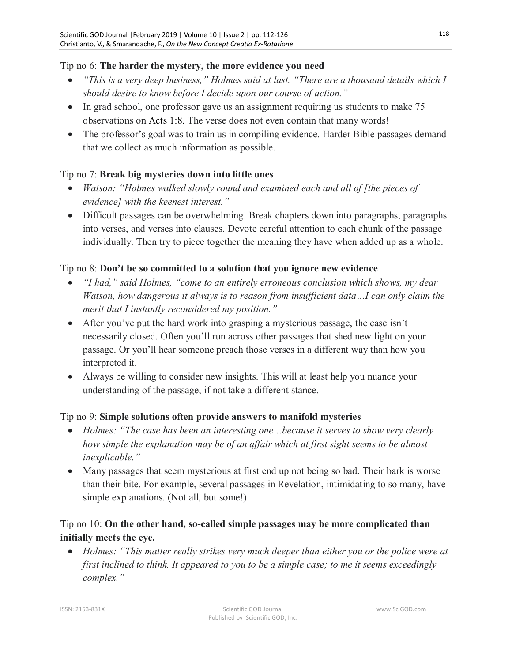#### Tip no 6: **The harder the mystery, the more evidence you need**

- *"This is a very deep business," Holmes said at last. "There are a thousand details which I should desire to know before I decide upon our course of action."*
- In grad school, one professor gave us an assignment requiring us students to make 75 observations on Acts 1:8. The verse does not even contain that many words!
- The professor's goal was to train us in compiling evidence. Harder Bible passages demand that we collect as much information as possible.

#### Tip no 7: **Break big mysteries down into little ones**

- *Watson: "Holmes walked slowly round and examined each and all of [the pieces of evidence] with the keenest interest."*
- Difficult passages can be overwhelming. Break chapters down into paragraphs, paragraphs into verses, and verses into clauses. Devote careful attention to each chunk of the passage individually. Then try to piece together the meaning they have when added up as a whole.

#### Tip no 8: **Don't be so committed to a solution that you ignore new evidence**

- *"I had," said Holmes, "come to an entirely erroneous conclusion which shows, my dear Watson, how dangerous it always is to reason from insufficient data…I can only claim the merit that I instantly reconsidered my position."*
- After you've put the hard work into grasping a mysterious passage, the case isn't necessarily closed. Often you'll run across other passages that shed new light on your passage. Or you'll hear someone preach those verses in a different way than how you interpreted it.
- Always be willing to consider new insights. This will at least help you nuance your understanding of the passage, if not take a different stance.

#### Tip no 9: **Simple solutions often provide answers to manifold mysteries**

- *Holmes: "The case has been an interesting one…because it serves to show very clearly how simple the explanation may be of an affair which at first sight seems to be almost inexplicable."*
- Many passages that seem mysterious at first end up not being so bad. Their bark is worse than their bite. For example, several passages in Revelation, intimidating to so many, have simple explanations. (Not all, but some!)

## Tip no 10: **On the other hand, so-called simple passages may be more complicated than initially meets the eye.**

 *Holmes: "This matter really strikes very much deeper than either you or the police were at first inclined to think. It appeared to you to be a simple case; to me it seems exceedingly complex."*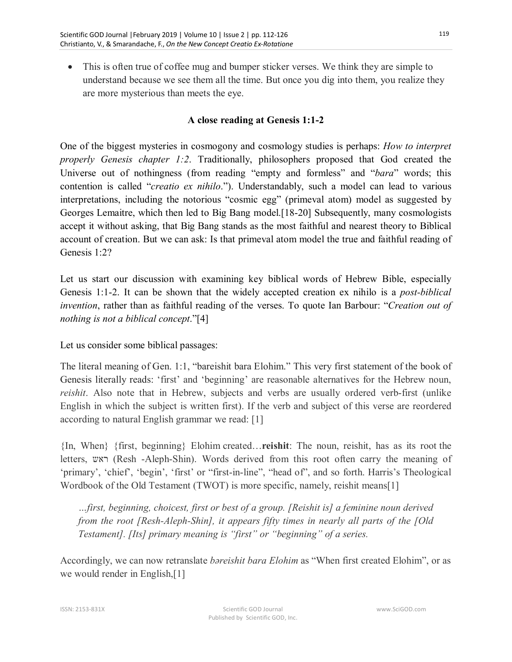This is often true of coffee mug and bumper sticker verses. We think they are simple to understand because we see them all the time. But once you dig into them, you realize they are more mysterious than meets the eye.

#### **A close reading at Genesis 1:1-2**

One of the biggest mysteries in cosmogony and cosmology studies is perhaps: *How to interpret properly Genesis chapter 1:2*. Traditionally, philosophers proposed that God created the Universe out of nothingness (from reading "empty and formless" and "*bara*" words; this contention is called "*creatio ex nihilo*."). Understandably, such a model can lead to various interpretations, including the notorious "cosmic egg" (primeval atom) model as suggested by Georges Lemaitre, which then led to Big Bang model.[18-20] Subsequently, many cosmologists accept it without asking, that Big Bang stands as the most faithful and nearest theory to Biblical account of creation. But we can ask: Is that primeval atom model the true and faithful reading of Genesis 1:2?

Let us start our discussion with examining key biblical words of Hebrew Bible, especially Genesis 1:1-2. It can be shown that the widely accepted creation ex nihilo is a *post-biblical invention*, rather than as faithful reading of the verses. To quote Ian Barbour: "*Creation out of nothing is not a biblical concept*."[4]

Let us consider some biblical passages:

The literal meaning of Gen. 1:1, "bareishit bara Elohim." This very first statement of the book of Genesis literally reads: 'first' and 'beginning' are reasonable alternatives for the Hebrew noun, *reishit*. Also note that in Hebrew, subjects and verbs are usually ordered verb-first (unlike English in which the subject is written first). If the verb and subject of this verse are reordered according to natural English grammar we read: [1]

{In, When} {first, beginning} Elohim created…**reishit**: The noun, reishit, has as its root the letters, ראש) Resh -Aleph-Shin). Words derived from this root often carry the meaning of 'primary', 'chief', 'begin', 'first' or "first-in-line", "head of", and so forth. Harris's Theological Wordbook of the Old Testament (TWOT) is more specific, namely, reishit means[1]

*…first, beginning, choicest, first or best of a group. [Reishit is] a feminine noun derived from the root [Resh-Aleph-Shin], it appears fifty times in nearly all parts of the [Old Testament]. [Its] primary meaning is "first" or "beginning" of a series.*

Accordingly, we can now retranslate *bəreishit bara Elohim* as "When first created Elohim", or as we would render in English,[1]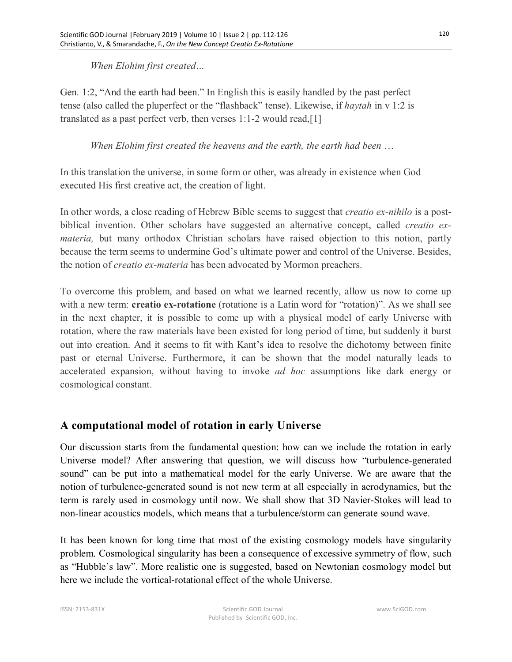*When Elohim first created…*

Gen. 1:2, "And the earth had been." In English this is easily handled by the past perfect tense (also called the pluperfect or the "flashback" tense). Likewise, if *haytah* in v 1:2 is translated as a past perfect verb, then verses 1:1-2 would read,[1]

*When Elohim first created the heavens and the earth, the earth had been* …

In this translation the universe, in some form or other, was already in existence when God executed His first creative act, the creation of light.

In other words, a close reading of Hebrew Bible seems to suggest that *creatio ex-nihilo* is a postbiblical invention. Other scholars have suggested an alternative concept, called *creatio exmateria,* but many orthodox Christian scholars have raised objection to this notion, partly because the term seems to undermine God's ultimate power and control of the Universe. Besides, the notion of *creatio ex-materia* has been advocated by Mormon preachers.

To overcome this problem, and based on what we learned recently, allow us now to come up with a new term: **creatio ex-rotatione** (rotatione is a Latin word for "rotation)". As we shall see in the next chapter, it is possible to come up with a physical model of early Universe with rotation, where the raw materials have been existed for long period of time, but suddenly it burst out into creation. And it seems to fit with Kant's idea to resolve the dichotomy between finite past or eternal Universe. Furthermore, it can be shown that the model naturally leads to accelerated expansion, without having to invoke *ad hoc* assumptions like dark energy or cosmological constant.

## **A computational model of rotation in early Universe**

Our discussion starts from the fundamental question: how can we include the rotation in early Universe model? After answering that question, we will discuss how "turbulence-generated sound" can be put into a mathematical model for the early Universe. We are aware that the notion of turbulence-generated sound is not new term at all especially in aerodynamics, but the term is rarely used in cosmology until now. We shall show that 3D Navier-Stokes will lead to non-linear acoustics models, which means that a turbulence/storm can generate sound wave.

It has been known for long time that most of the existing cosmology models have singularity problem. Cosmological singularity has been a consequence of excessive symmetry of flow, such as "Hubble's law". More realistic one is suggested, based on Newtonian cosmology model but here we include the vortical-rotational effect of the whole Universe.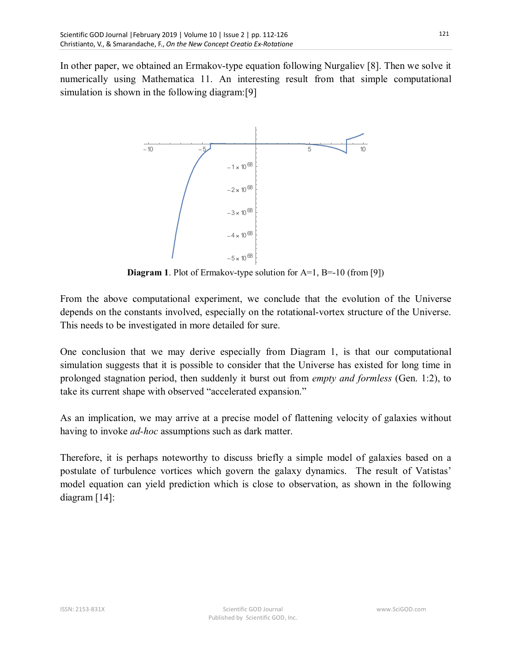In other paper, we obtained an Ermakov-type equation following Nurgaliev [8]. Then we solve it numerically using Mathematica 11. An interesting result from that simple computational simulation is shown in the following diagram:[9]



**Diagram 1**. Plot of Ermakov-type solution for A=1, B=-10 (from [9])

From the above computational experiment, we conclude that the evolution of the Universe depends on the constants involved, especially on the rotational-vortex structure of the Universe. This needs to be investigated in more detailed for sure.

One conclusion that we may derive especially from Diagram 1, is that our computational simulation suggests that it is possible to consider that the Universe has existed for long time in prolonged stagnation period, then suddenly it burst out from *empty and formless* (Gen. 1:2), to take its current shape with observed "accelerated expansion."

As an implication, we may arrive at a precise model of flattening velocity of galaxies without having to invoke *ad-hoc* assumptions such as dark matter.

Therefore, it is perhaps noteworthy to discuss briefly a simple model of galaxies based on a postulate of turbulence vortices which govern the galaxy dynamics. The result of Vatistas' model equation can yield prediction which is close to observation, as shown in the following diagram [14]: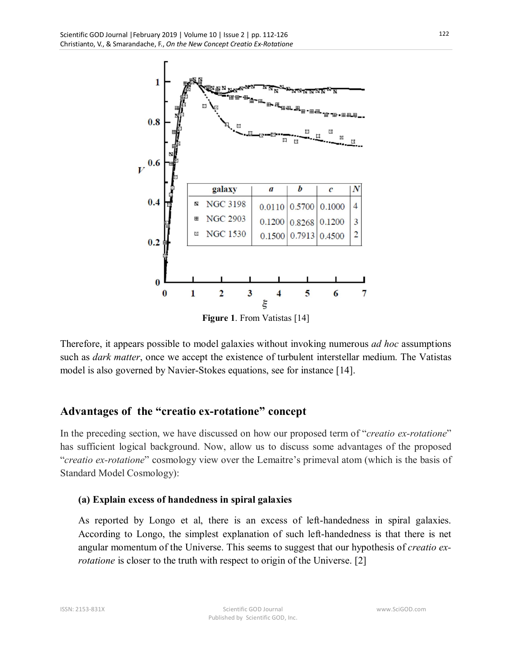

Therefore, it appears possible to model galaxies without invoking numerous *ad hoc* assumptions such as *dark matter*, once we accept the existence of turbulent interstellar medium. The Vatistas model is also governed by Navier-Stokes equations, see for instance [14].

## **Advantages of the "creatio ex-rotatione" concept**

In the preceding section, we have discussed on how our proposed term of "*creatio ex-rotatione*" has sufficient logical background. Now, allow us to discuss some advantages of the proposed "*creatio ex-rotatione*" cosmology view over the Lemaitre's primeval atom (which is the basis of Standard Model Cosmology):

#### **(a) Explain excess of handedness in spiral galaxies**

As reported by Longo et al, there is an excess of left-handedness in spiral galaxies. According to Longo, the simplest explanation of such left-handedness is that there is net angular momentum of the Universe. This seems to suggest that our hypothesis of *creatio exrotatione* is closer to the truth with respect to origin of the Universe. [2]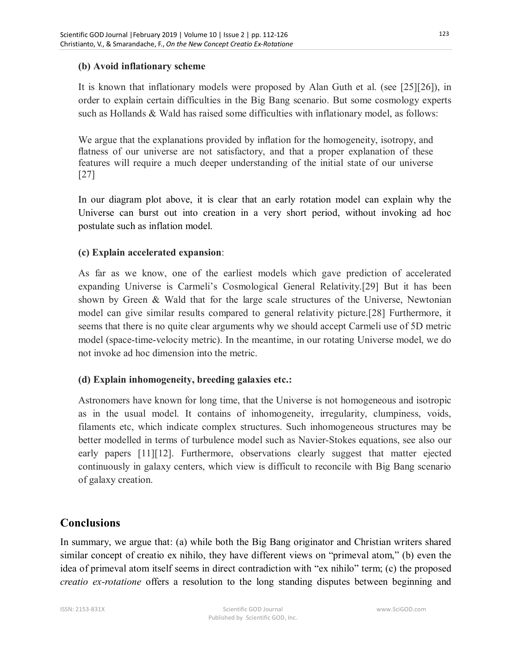#### **(b) Avoid inflationary scheme**

It is known that inflationary models were proposed by Alan Guth et al. (see [25][26]), in order to explain certain difficulties in the Big Bang scenario. But some cosmology experts such as Hollands & Wald has raised some difficulties with inflationary model, as follows:

We argue that the explanations provided by inflation for the homogeneity, isotropy, and flatness of our universe are not satisfactory, and that a proper explanation of these features will require a much deeper understanding of the initial state of our universe [27]

In our diagram plot above, it is clear that an early rotation model can explain why the Universe can burst out into creation in a very short period, without invoking ad hoc postulate such as inflation model.

#### **(c) Explain accelerated expansion**:

As far as we know, one of the earliest models which gave prediction of accelerated expanding Universe is Carmeli's Cosmological General Relativity.[29] But it has been shown by Green & Wald that for the large scale structures of the Universe, Newtonian model can give similar results compared to general relativity picture.[28] Furthermore, it seems that there is no quite clear arguments why we should accept Carmeli use of 5D metric model (space-time-velocity metric). In the meantime, in our rotating Universe model, we do not invoke ad hoc dimension into the metric.

#### **(d) Explain inhomogeneity, breeding galaxies etc.:**

Astronomers have known for long time, that the Universe is not homogeneous and isotropic as in the usual model. It contains of inhomogeneity, irregularity, clumpiness, voids, filaments etc, which indicate complex structures. Such inhomogeneous structures may be better modelled in terms of turbulence model such as Navier-Stokes equations, see also our early papers [11][12]. Furthermore, observations clearly suggest that matter ejected continuously in galaxy centers, which view is difficult to reconcile with Big Bang scenario of galaxy creation.

### **Conclusions**

In summary, we argue that: (a) while both the Big Bang originator and Christian writers shared similar concept of creatio ex nihilo, they have different views on "primeval atom," (b) even the idea of primeval atom itself seems in direct contradiction with "ex nihilo" term; (c) the proposed *creatio ex-rotatione* offers a resolution to the long standing disputes between beginning and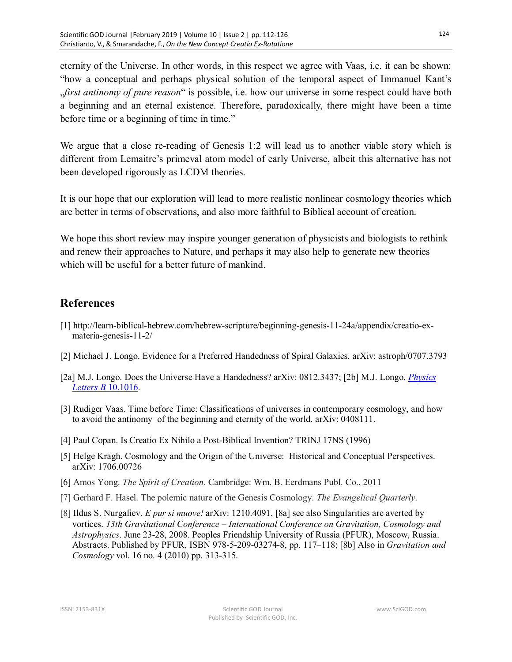eternity of the Universe. In other words, in this respect we agree with Vaas, i.e. it can be shown: "how a conceptual and perhaps physical solution of the temporal aspect of Immanuel Kant's "*first antinomy of pure reason*" is possible, i.e. how our universe in some respect could have both a beginning and an eternal existence. Therefore, paradoxically, there might have been a time before time or a beginning of time in time."

We argue that a close re-reading of Genesis 1:2 will lead us to another viable story which is different from Lemaitre's primeval atom model of early Universe, albeit this alternative has not been developed rigorously as LCDM theories.

It is our hope that our exploration will lead to more realistic nonlinear cosmology theories which are better in terms of observations, and also more faithful to Biblical account of creation.

We hope this short review may inspire younger generation of physicists and biologists to rethink and renew their approaches to Nature, and perhaps it may also help to generate new theories which will be useful for a better future of mankind.

## **References**

- [1] http://learn-biblical-hebrew.com/hebrew-scripture/beginning-genesis-11-24a/appendix/creatio-exmateria-genesis-11-2/
- [2] Michael J. Longo. Evidence for a Preferred Handedness of Spiral Galaxies. arXiv: astroph/0707.3793
- [2a] M.J. Longo. Does the Universe Have a Handedness? arXiv: 0812.3437; [2b] M.J. Longo. *Physics Letters B* 10.1016.
- [3] Rudiger Vaas. Time before Time: Classifications of universes in contemporary cosmology, and how to avoid the antinomy of the beginning and eternity of the world. arXiv: 0408111.
- [4] Paul Copan. Is Creatio Ex Nihilo a Post-Biblical Invention? TRINJ 17NS (1996)
- [5] Helge Kragh. Cosmology and the Origin of the Universe: Historical and Conceptual Perspectives. arXiv: 1706.00726
- [6] Amos Yong. *The Spirit of Creation.* Cambridge: Wm. B. Eerdmans Publ. Co., 2011
- [7] Gerhard F. Hasel. The polemic nature of the Genesis Cosmology. *The Evangelical Quarterly*.
- [8] Ildus S. Nurgaliev. *E pur si muove!* arXiv: 1210.4091. [8a] see also Singularities are averted by vortices. *13th Gravitational Conference – International Conference on Gravitation, Cosmology and Astrophysics*. June 23-28, 2008. Peoples Friendship University of Russia (PFUR), Moscow, Russia. Abstracts. Published by PFUR, ISBN 978-5-209-03274-8, pp. 117–118; [8b] Also in *Gravitation and Cosmology* vol. 16 no. 4 (2010) pp. 313-315.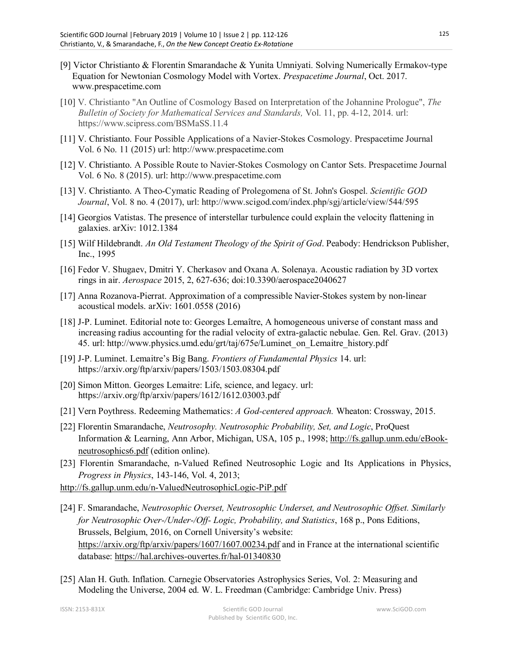- [9] Victor Christianto & Florentin Smarandache & Yunita Umniyati. Solving Numerically Ermakov-type Equation for Newtonian Cosmology Model with Vortex. *Prespacetime Journal*, Oct. 2017. www.prespacetime.com
- [10] V. Christianto "An Outline of Cosmology Based on Interpretation of the Johannine Prologue", *The Bulletin of Society for Mathematical Services and Standards,* Vol. 11, pp. 4-12, 2014. url: https://www.scipress.com/BSMaSS.11.4
- [11] V. Christianto. Four Possible Applications of a Navier-Stokes Cosmology. Prespacetime Journal Vol. 6 No. 11 (2015) url: http://www.prespacetime.com
- [12] V. Christianto. A Possible Route to Navier-Stokes Cosmology on Cantor Sets. Prespacetime Journal Vol. 6 No. 8 (2015). url: http://www.prespacetime.com
- [13] V. Christianto. A Theo-Cymatic Reading of Prolegomena of St. John's Gospel. *Scientific GOD Journal*, Vol. 8 no. 4 (2017), url: http://www.scigod.com/index.php/sgj/article/view/544/595
- [14] Georgios Vatistas. The presence of interstellar turbulence could explain the velocity flattening in galaxies. arXiv: 1012.1384
- [15] Wilf Hildebrandt. *An Old Testament Theology of the Spirit of God*. Peabody: Hendrickson Publisher, Inc., 1995
- [16] Fedor V. Shugaev, Dmitri Y. Cherkasov and Oxana A. Solenaya. Acoustic radiation by 3D vortex rings in air. *Aerospace* 2015, 2, 627-636; doi:10.3390/aerospace2040627
- [17] Anna Rozanova-Pierrat. Approximation of a compressible Navier-Stokes system by non-linear acoustical models. arXiv: 1601.0558 (2016)
- [18] J-P. Luminet. Editorial note to: Georges Lemaître, A homogeneous universe of constant mass and increasing radius accounting for the radial velocity of extra-galactic nebulae. Gen. Rel. Grav. (2013) 45. url: http://www.physics.umd.edu/grt/taj/675e/Luminet\_on\_Lemaitre\_history.pdf
- [19] J-P. Luminet. Lemaitre's Big Bang. *Frontiers of Fundamental Physics* 14. url: https://arxiv.org/ftp/arxiv/papers/1503/1503.08304.pdf
- [20] Simon Mitton. Georges Lemaitre: Life, science, and legacy. url: https://arxiv.org/ftp/arxiv/papers/1612/1612.03003.pdf
- [21] Vern Poythress. Redeeming Mathematics: *A God-centered approach.* Wheaton: Crossway, 2015.
- [22] Florentin Smarandache, *Neutrosophy. Neutrosophic Probability, Set, and Logic*, ProQuest Information & Learning, Ann Arbor, Michigan, USA, 105 p., 1998; http://fs.gallup.unm.edu/eBookneutrosophics6.pdf (edition online).
- [23] Florentin Smarandache, n-Valued Refined Neutrosophic Logic and Its Applications in Physics, *Progress in Physics*, 143-146, Vol. 4, 2013;

http://fs.gallup.unm.edu/n-ValuedNeutrosophicLogic-PiP.pdf

- [24] F. Smarandache, *Neutrosophic Overset, Neutrosophic Underset, and Neutrosophic Offset. Similarly for Neutrosophic Over-/Under-/Off- Logic, Probability, and Statistics*, 168 p., Pons Editions, Brussels, Belgium, 2016, on Cornell University's website: https://arxiv.org/ftp/arxiv/papers/1607/1607.00234.pdf and in France at the international scientific database: https://hal.archives-ouvertes.fr/hal-01340830
- [25] Alan H. Guth. Inflation. Carnegie Observatories Astrophysics Series, Vol. 2: Measuring and Modeling the Universe, 2004 ed. W. L. Freedman (Cambridge: Cambridge Univ. Press)